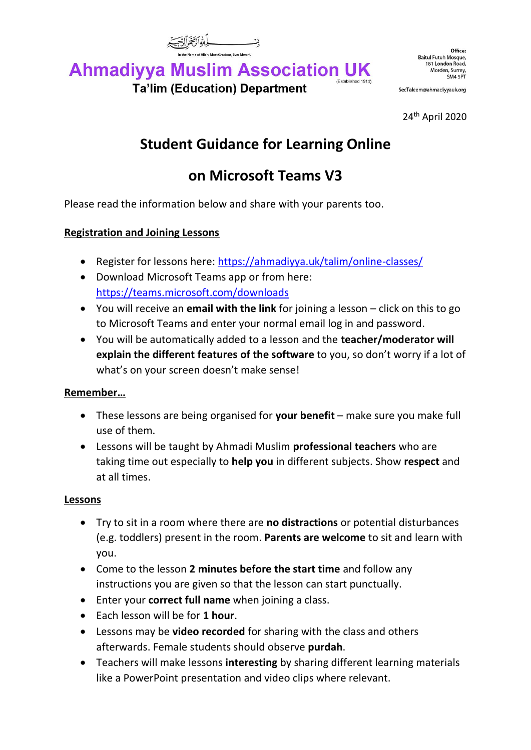

#### **Ahmadiyya Muslim Association UK** (Established 1914) **Ta'lim (Education) Department**

SecTaleem@ahmadiyyauk.org

24 th April 2020

# **Student Guidance for Learning Online**

# **on Microsoft Teams V3**

Please read the information below and share with your parents too.

## **Registration and Joining Lessons**

- Register for lessons here:<https://ahmadiyya.uk/talim/online-classes/>
- Download Microsoft Teams app or from here: <https://teams.microsoft.com/downloads>
- You will receive an **email with the link** for joining a lesson click on this to go to Microsoft Teams and enter your normal email log in and password.
- You will be automatically added to a lesson and the **teacher/moderator will explain the different features of the software** to you, so don't worry if a lot of what's on your screen doesn't make sense!

### **Remember…**

- These lessons are being organised for **your benefit** make sure you make full use of them.
- Lessons will be taught by Ahmadi Muslim **professional teachers** who are taking time out especially to **help you** in different subjects. Show **respect** and at all times.

## **Lessons**

- Try to sit in a room where there are **no distractions** or potential disturbances (e.g. toddlers) present in the room. **Parents are welcome** to sit and learn with you.
- Come to the lesson **2 minutes before the start time** and follow any instructions you are given so that the lesson can start punctually.
- Enter your **correct full name** when joining a class.
- Each lesson will be for **1 hour**.
- Lessons may be **video recorded** for sharing with the class and others afterwards. Female students should observe **purdah**.
- Teachers will make lessons **interesting** by sharing different learning materials like a PowerPoint presentation and video clips where relevant.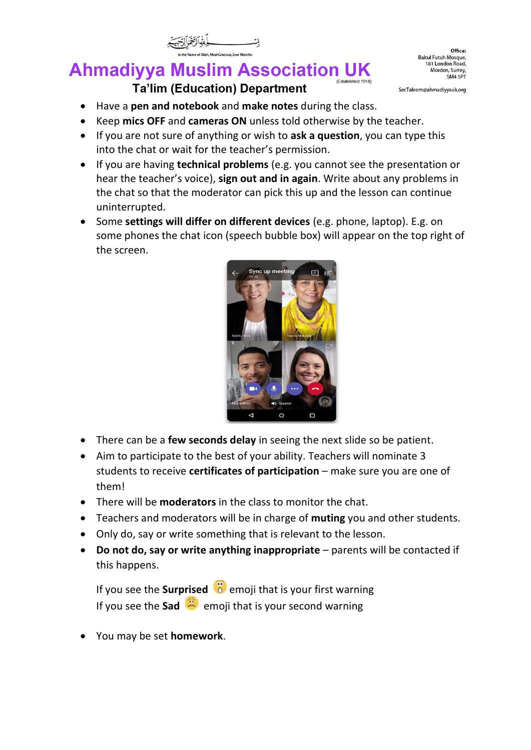#### **Ahmadiyya Muslim Association UK** (Established 1914) **Ta'lim (Education) Department**

SecTaleem@ahmadiyyauk.org

- Have a **pen and notebook** and **make notes** during the class.
- Keep **mics OFF** and **cameras ON** unless told otherwise by the teacher.
- If you are not sure of anything or wish to **ask a question**, you can type this into the chat or wait for the teacher's permission.
- If you are having **technical problems** (e.g. you cannot see the presentation or hear the teacher's voice), **sign out and in again**. Write about any problems in the chat so that the moderator can pick this up and the lesson can continue uninterrupted.
- Some **settings will differ on different devices** (e.g. phone, laptop). E.g. on some phones the chat icon (speech bubble box) will appear on the top right of the screen.



- There can be a **few seconds delay** in seeing the next slide so be patient.
- Aim to participate to the best of your ability. Teachers will nominate 3 students to receive **certificates of participation** – make sure you are one of them!
- There will be **moderators** in the class to monitor the chat.
- Teachers and moderators will be in charge of **muting** you and other students.
- Only do, say or write something that is relevant to the lesson.
- **Do not do, say or write anything inappropriate** parents will be contacted if this happens.

If you see the **Surprised i** emoji that is your first warning If you see the **Sad**  $\ddot{\mathbf{r}}$  emoji that is your second warning

• You may be set **homework**.